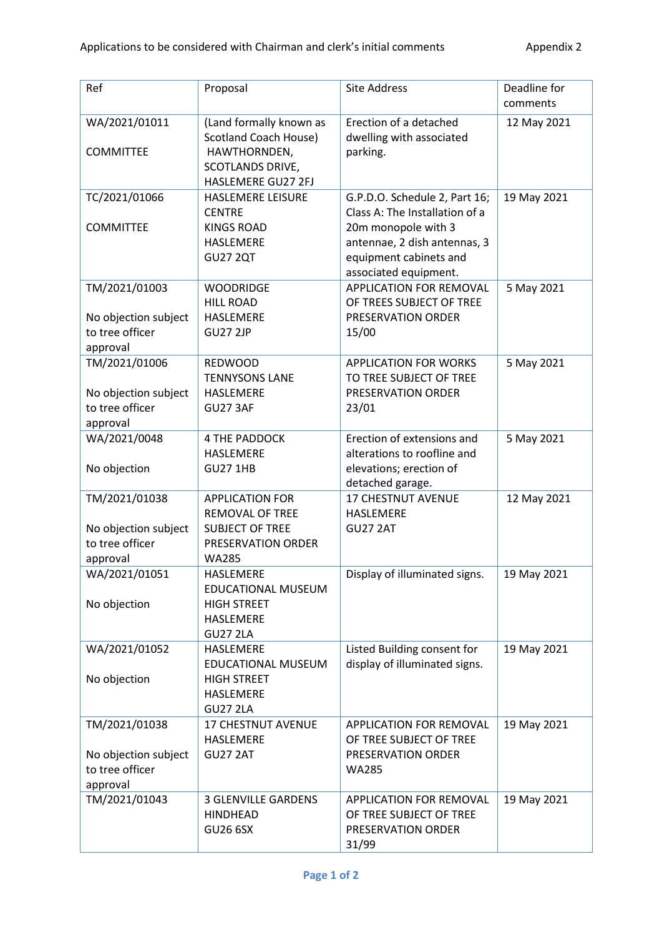| Ref                                                                  | Proposal                                                                                                                 | <b>Site Address</b>                                                                                                                                                       | Deadline for<br>comments |
|----------------------------------------------------------------------|--------------------------------------------------------------------------------------------------------------------------|---------------------------------------------------------------------------------------------------------------------------------------------------------------------------|--------------------------|
| WA/2021/01011<br><b>COMMITTEE</b>                                    | (Land formally known as<br><b>Scotland Coach House)</b><br>HAWTHORNDEN,<br><b>SCOTLANDS DRIVE,</b><br>HASLEMERE GU27 2FJ | Erection of a detached<br>dwelling with associated<br>parking.                                                                                                            | 12 May 2021              |
| TC/2021/01066<br><b>COMMITTEE</b>                                    | HASLEMERE LEISURE<br><b>CENTRE</b><br><b>KINGS ROAD</b><br>HASLEMERE<br><b>GU27 2QT</b>                                  | G.P.D.O. Schedule 2, Part 16;<br>Class A: The Installation of a<br>20m monopole with 3<br>antennae, 2 dish antennas, 3<br>equipment cabinets and<br>associated equipment. | 19 May 2021              |
| TM/2021/01003<br>No objection subject<br>to tree officer<br>approval | <b>WOODRIDGE</b><br><b>HILL ROAD</b><br><b>HASLEMERE</b><br><b>GU27 2JP</b>                                              | APPLICATION FOR REMOVAL<br>OF TREES SUBJECT OF TREE<br>PRESERVATION ORDER<br>15/00                                                                                        | 5 May 2021               |
| TM/2021/01006<br>No objection subject<br>to tree officer<br>approval | <b>REDWOOD</b><br><b>TENNYSONS LANE</b><br>HASLEMERE<br><b>GU27 3AF</b>                                                  | <b>APPLICATION FOR WORKS</b><br>TO TREE SUBJECT OF TREE<br>PRESERVATION ORDER<br>23/01                                                                                    | 5 May 2021               |
| WA/2021/0048<br>No objection                                         | <b>4 THE PADDOCK</b><br>HASLEMERE<br><b>GU27 1HB</b>                                                                     | Erection of extensions and<br>alterations to roofline and<br>elevations; erection of<br>detached garage.                                                                  | 5 May 2021               |
| TM/2021/01038<br>No objection subject<br>to tree officer<br>approval | <b>APPLICATION FOR</b><br><b>REMOVAL OF TREE</b><br><b>SUBJECT OF TREE</b><br>PRESERVATION ORDER<br><b>WA285</b>         | <b>17 CHESTNUT AVENUE</b><br><b>HASLEMERE</b><br><b>GU27 2AT</b>                                                                                                          | 12 May 2021              |
| WA/2021/01051<br>No objection                                        | HASLEMERE<br>EDUCATIONAL MUSEUM<br><b>HIGH STREET</b><br>HASLEMERE<br><b>GU27 2LA</b>                                    | Display of illuminated signs.                                                                                                                                             | 19 May 2021              |
| WA/2021/01052<br>No objection                                        | HASLEMERE<br><b>EDUCATIONAL MUSEUM</b><br><b>HIGH STREET</b><br>HASLEMERE<br><b>GU27 2LA</b>                             | Listed Building consent for<br>display of illuminated signs.                                                                                                              | 19 May 2021              |
| TM/2021/01038<br>No objection subject<br>to tree officer<br>approval | 17 CHESTNUT AVENUE<br>HASLEMERE<br><b>GU27 2AT</b>                                                                       | APPLICATION FOR REMOVAL<br>OF TREE SUBJECT OF TREE<br>PRESERVATION ORDER<br><b>WA285</b>                                                                                  | 19 May 2021              |
| TM/2021/01043                                                        | <b>3 GLENVILLE GARDENS</b><br><b>HINDHEAD</b><br><b>GU26 6SX</b>                                                         | APPLICATION FOR REMOVAL<br>OF TREE SUBJECT OF TREE<br>PRESERVATION ORDER<br>31/99                                                                                         | 19 May 2021              |